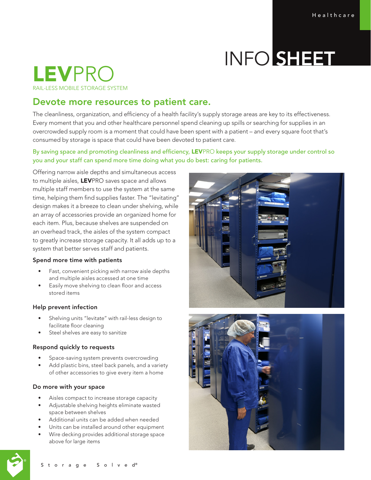# INFO SHEET

# LEVPRO RAIL-LESS MOBILE STORAGE SYSTEM

## Devote more resources to patient care.

The cleanliness, organization, and efficiency of a health facility's supply storage areas are key to its effectiveness. Every moment that you and other healthcare personnel spend cleaning up spills or searching for supplies in an overcrowded supply room is a moment that could have been spent with a patient – and every square foot that's consumed by storage is space that could have been devoted to patient care.

### By saving space and promoting cleanliness and efficiency, LEVPRO keeps your supply storage under control so you and your staff can spend more time doing what you do best: caring for patients.

Offering narrow aisle depths and simultaneous access to multiple aisles, LEVPRO saves space and allows multiple staff members to use the system at the same time, helping them find supplies faster. The "levitating" design makes it a breeze to clean under shelving, while an array of accessories provide an organized home for each item. Plus, because shelves are suspended on an overhead track, the aisles of the system compact to greatly increase storage capacity. It all adds up to a system that better serves staff and patients.

#### Spend more time with patients

- Fast, convenient picking with narrow aisle depths and multiple aisles accessed at one time
- Easily move shelving to clean floor and access stored items

#### Help prevent infection

- Shelving units "levitate" with rail-less design to facilitate floor cleaning
- Steel shelves are easy to sanitize

#### Respond quickly to requests

- Space-saving system prevents overcrowding
- Add plastic bins, steel back panels, and a variety of other accessories to give every item a home

#### Do more with your space

- Aisles compact to increase storage capacity
- Adjustable shelving heights eliminate wasted space between shelves
- Additional units can be added when needed
- Units can be installed around other equipment
- Wire decking provides additional storage space above for large items